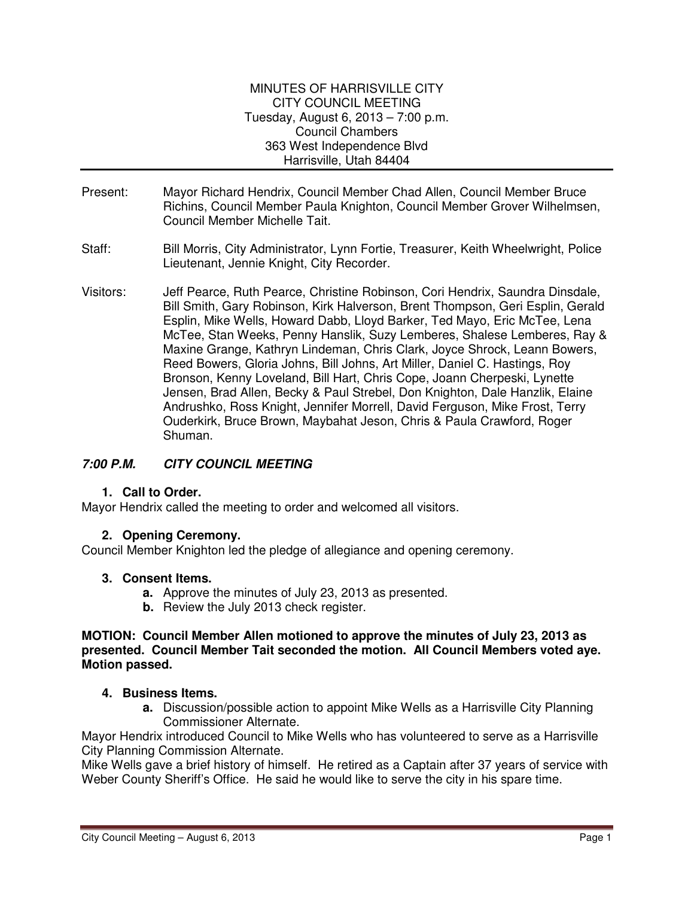#### MINUTES OF HARRISVILLE CITY CITY COUNCIL MEETING Tuesday, August 6, 2013 – 7:00 p.m. Council Chambers 363 West Independence Blvd Harrisville, Utah 84404

- Present: Mayor Richard Hendrix, Council Member Chad Allen, Council Member Bruce Richins, Council Member Paula Knighton, Council Member Grover Wilhelmsen, Council Member Michelle Tait.
- Staff: Bill Morris, City Administrator, Lynn Fortie, Treasurer, Keith Wheelwright, Police Lieutenant, Jennie Knight, City Recorder.
- Visitors: Jeff Pearce, Ruth Pearce, Christine Robinson, Cori Hendrix, Saundra Dinsdale, Bill Smith, Gary Robinson, Kirk Halverson, Brent Thompson, Geri Esplin, Gerald Esplin, Mike Wells, Howard Dabb, Lloyd Barker, Ted Mayo, Eric McTee, Lena McTee, Stan Weeks, Penny Hanslik, Suzy Lemberes, Shalese Lemberes, Ray & Maxine Grange, Kathryn Lindeman, Chris Clark, Joyce Shrock, Leann Bowers, Reed Bowers, Gloria Johns, Bill Johns, Art Miller, Daniel C. Hastings, Roy Bronson, Kenny Loveland, Bill Hart, Chris Cope, Joann Cherpeski, Lynette Jensen, Brad Allen, Becky & Paul Strebel, Don Knighton, Dale Hanzlik, Elaine Andrushko, Ross Knight, Jennifer Morrell, David Ferguson, Mike Frost, Terry Ouderkirk, Bruce Brown, Maybahat Jeson, Chris & Paula Crawford, Roger Shuman.

# **7:00 P.M. CITY COUNCIL MEETING**

## **1. Call to Order.**

Mayor Hendrix called the meeting to order and welcomed all visitors.

## **2. Opening Ceremony.**

Council Member Knighton led the pledge of allegiance and opening ceremony.

#### **3. Consent Items.**

- **a.** Approve the minutes of July 23, 2013 as presented.
- **b.** Review the July 2013 check register.

#### **MOTION: Council Member Allen motioned to approve the minutes of July 23, 2013 as presented. Council Member Tait seconded the motion. All Council Members voted aye. Motion passed.**

#### **4. Business Items.**

**a.** Discussion/possible action to appoint Mike Wells as a Harrisville City Planning Commissioner Alternate.

Mayor Hendrix introduced Council to Mike Wells who has volunteered to serve as a Harrisville City Planning Commission Alternate.

Mike Wells gave a brief history of himself. He retired as a Captain after 37 years of service with Weber County Sheriff's Office. He said he would like to serve the city in his spare time.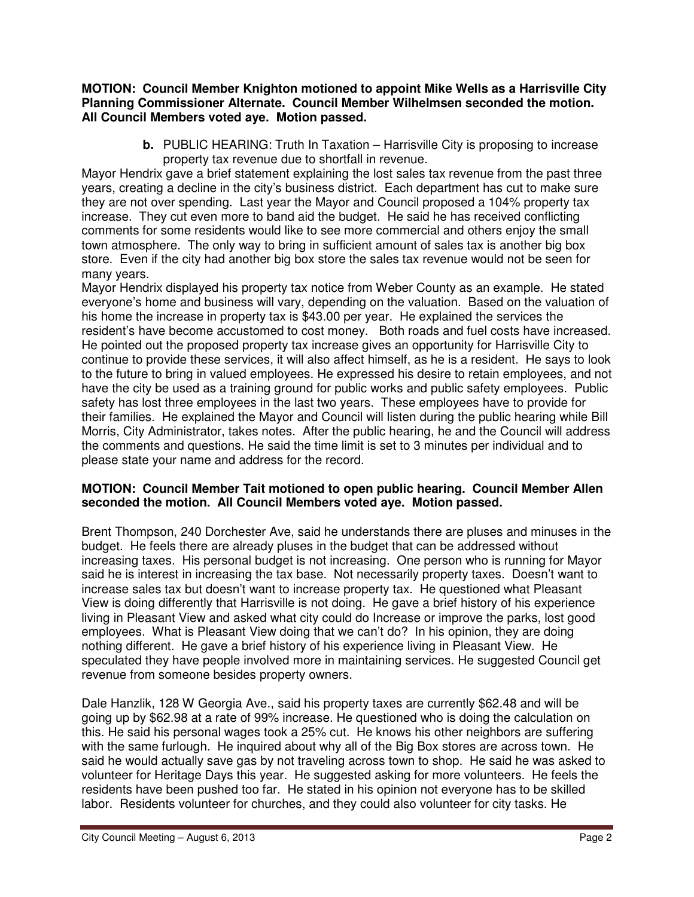**MOTION: Council Member Knighton motioned to appoint Mike Wells as a Harrisville City Planning Commissioner Alternate. Council Member Wilhelmsen seconded the motion. All Council Members voted aye. Motion passed.** 

> **b.** PUBLIC HEARING: Truth In Taxation – Harrisville City is proposing to increase property tax revenue due to shortfall in revenue.

Mayor Hendrix gave a brief statement explaining the lost sales tax revenue from the past three years, creating a decline in the city's business district. Each department has cut to make sure they are not over spending. Last year the Mayor and Council proposed a 104% property tax increase. They cut even more to band aid the budget. He said he has received conflicting comments for some residents would like to see more commercial and others enjoy the small town atmosphere. The only way to bring in sufficient amount of sales tax is another big box store. Even if the city had another big box store the sales tax revenue would not be seen for many years.

Mayor Hendrix displayed his property tax notice from Weber County as an example. He stated everyone's home and business will vary, depending on the valuation. Based on the valuation of his home the increase in property tax is \$43.00 per year. He explained the services the resident's have become accustomed to cost money. Both roads and fuel costs have increased. He pointed out the proposed property tax increase gives an opportunity for Harrisville City to continue to provide these services, it will also affect himself, as he is a resident. He says to look to the future to bring in valued employees. He expressed his desire to retain employees, and not have the city be used as a training ground for public works and public safety employees. Public safety has lost three employees in the last two years. These employees have to provide for their families. He explained the Mayor and Council will listen during the public hearing while Bill Morris, City Administrator, takes notes. After the public hearing, he and the Council will address the comments and questions. He said the time limit is set to 3 minutes per individual and to please state your name and address for the record.

## **MOTION: Council Member Tait motioned to open public hearing. Council Member Allen seconded the motion. All Council Members voted aye. Motion passed.**

Brent Thompson, 240 Dorchester Ave, said he understands there are pluses and minuses in the budget. He feels there are already pluses in the budget that can be addressed without increasing taxes. His personal budget is not increasing. One person who is running for Mayor said he is interest in increasing the tax base. Not necessarily property taxes. Doesn't want to increase sales tax but doesn't want to increase property tax. He questioned what Pleasant View is doing differently that Harrisville is not doing. He gave a brief history of his experience living in Pleasant View and asked what city could do Increase or improve the parks, lost good employees. What is Pleasant View doing that we can't do? In his opinion, they are doing nothing different. He gave a brief history of his experience living in Pleasant View. He speculated they have people involved more in maintaining services. He suggested Council get revenue from someone besides property owners.

Dale Hanzlik, 128 W Georgia Ave., said his property taxes are currently \$62.48 and will be going up by \$62.98 at a rate of 99% increase. He questioned who is doing the calculation on this. He said his personal wages took a 25% cut. He knows his other neighbors are suffering with the same furlough. He inquired about why all of the Big Box stores are across town. He said he would actually save gas by not traveling across town to shop. He said he was asked to volunteer for Heritage Days this year. He suggested asking for more volunteers. He feels the residents have been pushed too far. He stated in his opinion not everyone has to be skilled labor. Residents volunteer for churches, and they could also volunteer for city tasks. He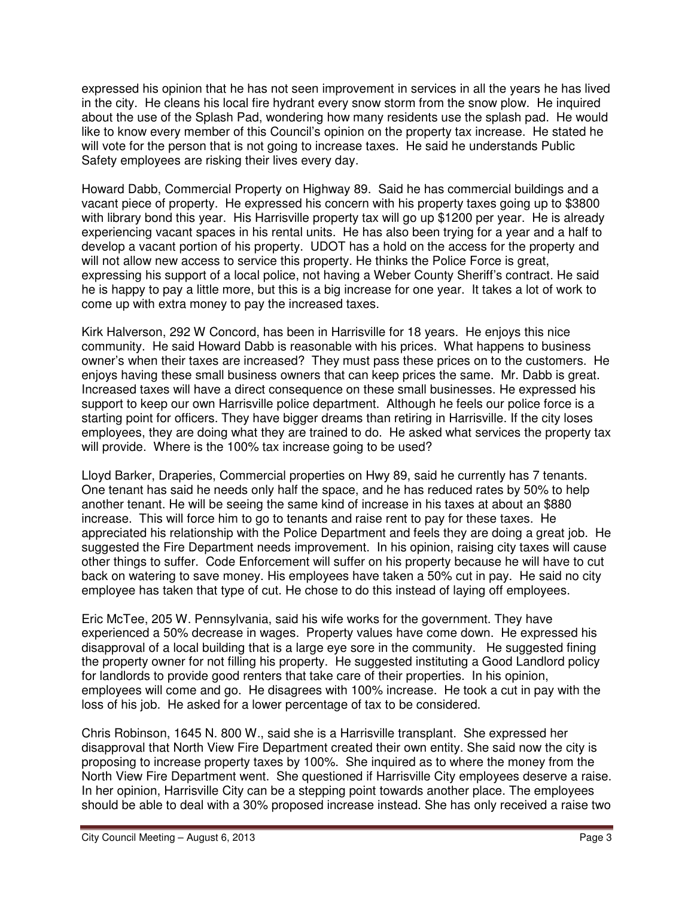expressed his opinion that he has not seen improvement in services in all the years he has lived in the city. He cleans his local fire hydrant every snow storm from the snow plow. He inquired about the use of the Splash Pad, wondering how many residents use the splash pad. He would like to know every member of this Council's opinion on the property tax increase. He stated he will vote for the person that is not going to increase taxes. He said he understands Public Safety employees are risking their lives every day.

Howard Dabb, Commercial Property on Highway 89. Said he has commercial buildings and a vacant piece of property. He expressed his concern with his property taxes going up to \$3800 with library bond this year. His Harrisville property tax will go up \$1200 per year. He is already experiencing vacant spaces in his rental units. He has also been trying for a year and a half to develop a vacant portion of his property. UDOT has a hold on the access for the property and will not allow new access to service this property. He thinks the Police Force is great, expressing his support of a local police, not having a Weber County Sheriff's contract. He said he is happy to pay a little more, but this is a big increase for one year. It takes a lot of work to come up with extra money to pay the increased taxes.

Kirk Halverson, 292 W Concord, has been in Harrisville for 18 years. He enjoys this nice community. He said Howard Dabb is reasonable with his prices. What happens to business owner's when their taxes are increased? They must pass these prices on to the customers. He enjoys having these small business owners that can keep prices the same. Mr. Dabb is great. Increased taxes will have a direct consequence on these small businesses. He expressed his support to keep our own Harrisville police department. Although he feels our police force is a starting point for officers. They have bigger dreams than retiring in Harrisville. If the city loses employees, they are doing what they are trained to do. He asked what services the property tax will provide. Where is the 100% tax increase going to be used?

Lloyd Barker, Draperies, Commercial properties on Hwy 89, said he currently has 7 tenants. One tenant has said he needs only half the space, and he has reduced rates by 50% to help another tenant. He will be seeing the same kind of increase in his taxes at about an \$880 increase. This will force him to go to tenants and raise rent to pay for these taxes. He appreciated his relationship with the Police Department and feels they are doing a great job. He suggested the Fire Department needs improvement. In his opinion, raising city taxes will cause other things to suffer. Code Enforcement will suffer on his property because he will have to cut back on watering to save money. His employees have taken a 50% cut in pay. He said no city employee has taken that type of cut. He chose to do this instead of laying off employees.

Eric McTee, 205 W. Pennsylvania, said his wife works for the government. They have experienced a 50% decrease in wages. Property values have come down. He expressed his disapproval of a local building that is a large eye sore in the community. He suggested fining the property owner for not filling his property. He suggested instituting a Good Landlord policy for landlords to provide good renters that take care of their properties. In his opinion, employees will come and go. He disagrees with 100% increase. He took a cut in pay with the loss of his job. He asked for a lower percentage of tax to be considered.

Chris Robinson, 1645 N. 800 W., said she is a Harrisville transplant. She expressed her disapproval that North View Fire Department created their own entity. She said now the city is proposing to increase property taxes by 100%. She inquired as to where the money from the North View Fire Department went. She questioned if Harrisville City employees deserve a raise. In her opinion, Harrisville City can be a stepping point towards another place. The employees should be able to deal with a 30% proposed increase instead. She has only received a raise two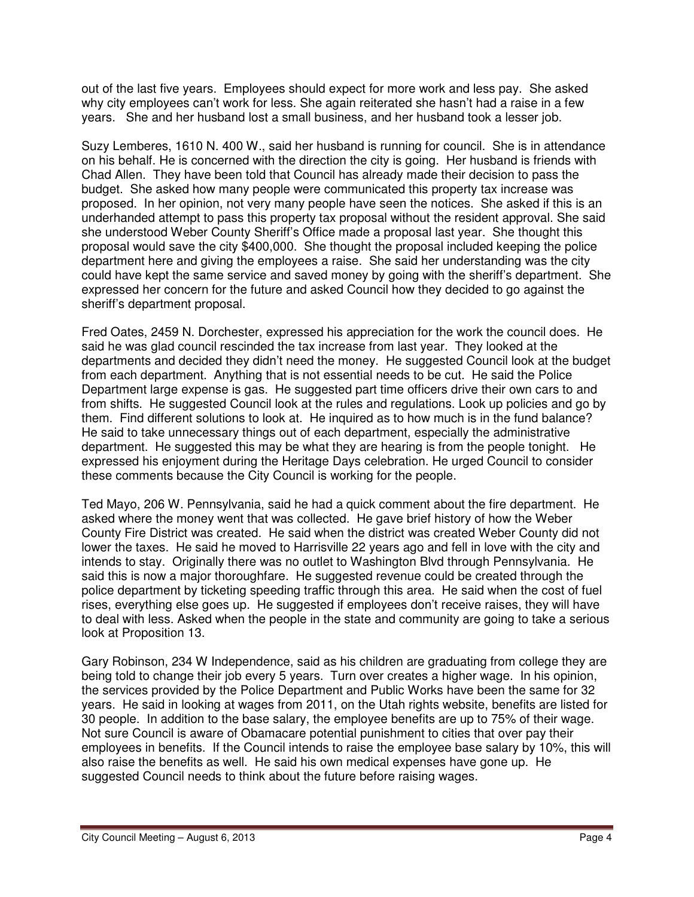out of the last five years. Employees should expect for more work and less pay. She asked why city employees can't work for less. She again reiterated she hasn't had a raise in a few years. She and her husband lost a small business, and her husband took a lesser job.

Suzy Lemberes, 1610 N. 400 W., said her husband is running for council. She is in attendance on his behalf. He is concerned with the direction the city is going. Her husband is friends with Chad Allen. They have been told that Council has already made their decision to pass the budget. She asked how many people were communicated this property tax increase was proposed. In her opinion, not very many people have seen the notices. She asked if this is an underhanded attempt to pass this property tax proposal without the resident approval. She said she understood Weber County Sheriff's Office made a proposal last year. She thought this proposal would save the city \$400,000. She thought the proposal included keeping the police department here and giving the employees a raise. She said her understanding was the city could have kept the same service and saved money by going with the sheriff's department. She expressed her concern for the future and asked Council how they decided to go against the sheriff's department proposal.

Fred Oates, 2459 N. Dorchester, expressed his appreciation for the work the council does. He said he was glad council rescinded the tax increase from last year. They looked at the departments and decided they didn't need the money. He suggested Council look at the budget from each department. Anything that is not essential needs to be cut. He said the Police Department large expense is gas. He suggested part time officers drive their own cars to and from shifts. He suggested Council look at the rules and regulations. Look up policies and go by them. Find different solutions to look at. He inquired as to how much is in the fund balance? He said to take unnecessary things out of each department, especially the administrative department. He suggested this may be what they are hearing is from the people tonight. He expressed his enjoyment during the Heritage Days celebration. He urged Council to consider these comments because the City Council is working for the people.

Ted Mayo, 206 W. Pennsylvania, said he had a quick comment about the fire department. He asked where the money went that was collected. He gave brief history of how the Weber County Fire District was created. He said when the district was created Weber County did not lower the taxes. He said he moved to Harrisville 22 years ago and fell in love with the city and intends to stay. Originally there was no outlet to Washington Blvd through Pennsylvania. He said this is now a major thoroughfare. He suggested revenue could be created through the police department by ticketing speeding traffic through this area. He said when the cost of fuel rises, everything else goes up. He suggested if employees don't receive raises, they will have to deal with less. Asked when the people in the state and community are going to take a serious look at Proposition 13.

Gary Robinson, 234 W Independence, said as his children are graduating from college they are being told to change their job every 5 years. Turn over creates a higher wage. In his opinion, the services provided by the Police Department and Public Works have been the same for 32 years. He said in looking at wages from 2011, on the Utah rights website, benefits are listed for 30 people. In addition to the base salary, the employee benefits are up to 75% of their wage. Not sure Council is aware of Obamacare potential punishment to cities that over pay their employees in benefits. If the Council intends to raise the employee base salary by 10%, this will also raise the benefits as well. He said his own medical expenses have gone up. He suggested Council needs to think about the future before raising wages.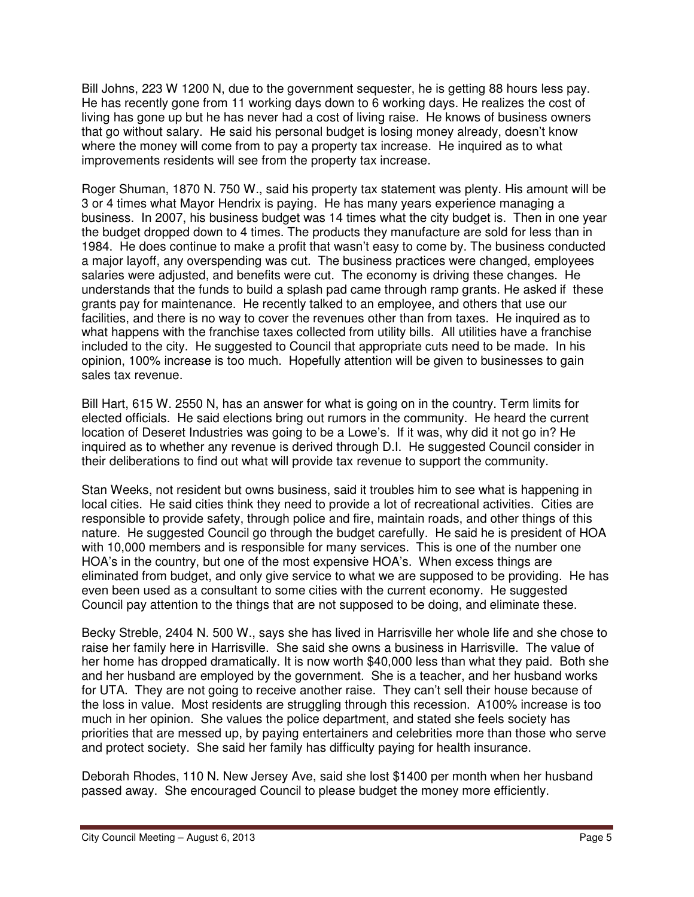Bill Johns, 223 W 1200 N, due to the government sequester, he is getting 88 hours less pay. He has recently gone from 11 working days down to 6 working days. He realizes the cost of living has gone up but he has never had a cost of living raise. He knows of business owners that go without salary. He said his personal budget is losing money already, doesn't know where the money will come from to pay a property tax increase. He inquired as to what improvements residents will see from the property tax increase.

Roger Shuman, 1870 N. 750 W., said his property tax statement was plenty. His amount will be 3 or 4 times what Mayor Hendrix is paying. He has many years experience managing a business. In 2007, his business budget was 14 times what the city budget is. Then in one year the budget dropped down to 4 times. The products they manufacture are sold for less than in 1984. He does continue to make a profit that wasn't easy to come by. The business conducted a major layoff, any overspending was cut. The business practices were changed, employees salaries were adjusted, and benefits were cut. The economy is driving these changes. He understands that the funds to build a splash pad came through ramp grants. He asked if these grants pay for maintenance. He recently talked to an employee, and others that use our facilities, and there is no way to cover the revenues other than from taxes. He inquired as to what happens with the franchise taxes collected from utility bills. All utilities have a franchise included to the city. He suggested to Council that appropriate cuts need to be made. In his opinion, 100% increase is too much. Hopefully attention will be given to businesses to gain sales tax revenue.

Bill Hart, 615 W. 2550 N, has an answer for what is going on in the country. Term limits for elected officials. He said elections bring out rumors in the community. He heard the current location of Deseret Industries was going to be a Lowe's. If it was, why did it not go in? He inquired as to whether any revenue is derived through D.I. He suggested Council consider in their deliberations to find out what will provide tax revenue to support the community.

Stan Weeks, not resident but owns business, said it troubles him to see what is happening in local cities. He said cities think they need to provide a lot of recreational activities. Cities are responsible to provide safety, through police and fire, maintain roads, and other things of this nature. He suggested Council go through the budget carefully. He said he is president of HOA with 10,000 members and is responsible for many services. This is one of the number one HOA's in the country, but one of the most expensive HOA's. When excess things are eliminated from budget, and only give service to what we are supposed to be providing. He has even been used as a consultant to some cities with the current economy. He suggested Council pay attention to the things that are not supposed to be doing, and eliminate these.

Becky Streble, 2404 N. 500 W., says she has lived in Harrisville her whole life and she chose to raise her family here in Harrisville. She said she owns a business in Harrisville. The value of her home has dropped dramatically. It is now worth \$40,000 less than what they paid. Both she and her husband are employed by the government. She is a teacher, and her husband works for UTA. They are not going to receive another raise. They can't sell their house because of the loss in value. Most residents are struggling through this recession. A100% increase is too much in her opinion. She values the police department, and stated she feels society has priorities that are messed up, by paying entertainers and celebrities more than those who serve and protect society. She said her family has difficulty paying for health insurance.

Deborah Rhodes, 110 N. New Jersey Ave, said she lost \$1400 per month when her husband passed away. She encouraged Council to please budget the money more efficiently.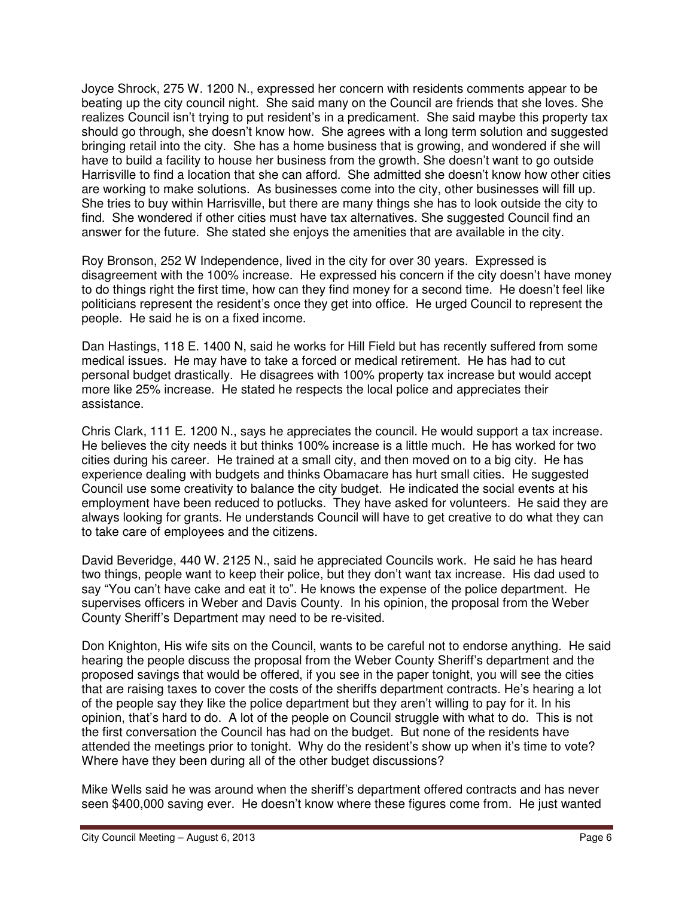Joyce Shrock, 275 W. 1200 N., expressed her concern with residents comments appear to be beating up the city council night. She said many on the Council are friends that she loves. She realizes Council isn't trying to put resident's in a predicament. She said maybe this property tax should go through, she doesn't know how. She agrees with a long term solution and suggested bringing retail into the city. She has a home business that is growing, and wondered if she will have to build a facility to house her business from the growth. She doesn't want to go outside Harrisville to find a location that she can afford. She admitted she doesn't know how other cities are working to make solutions. As businesses come into the city, other businesses will fill up. She tries to buy within Harrisville, but there are many things she has to look outside the city to find. She wondered if other cities must have tax alternatives. She suggested Council find an answer for the future. She stated she enjoys the amenities that are available in the city.

Roy Bronson, 252 W Independence, lived in the city for over 30 years. Expressed is disagreement with the 100% increase. He expressed his concern if the city doesn't have money to do things right the first time, how can they find money for a second time. He doesn't feel like politicians represent the resident's once they get into office. He urged Council to represent the people. He said he is on a fixed income.

Dan Hastings, 118 E. 1400 N, said he works for Hill Field but has recently suffered from some medical issues. He may have to take a forced or medical retirement. He has had to cut personal budget drastically. He disagrees with 100% property tax increase but would accept more like 25% increase. He stated he respects the local police and appreciates their assistance.

Chris Clark, 111 E. 1200 N., says he appreciates the council. He would support a tax increase. He believes the city needs it but thinks 100% increase is a little much. He has worked for two cities during his career. He trained at a small city, and then moved on to a big city. He has experience dealing with budgets and thinks Obamacare has hurt small cities. He suggested Council use some creativity to balance the city budget. He indicated the social events at his employment have been reduced to potlucks. They have asked for volunteers. He said they are always looking for grants. He understands Council will have to get creative to do what they can to take care of employees and the citizens.

David Beveridge, 440 W. 2125 N., said he appreciated Councils work. He said he has heard two things, people want to keep their police, but they don't want tax increase. His dad used to say "You can't have cake and eat it to". He knows the expense of the police department. He supervises officers in Weber and Davis County. In his opinion, the proposal from the Weber County Sheriff's Department may need to be re-visited.

Don Knighton, His wife sits on the Council, wants to be careful not to endorse anything. He said hearing the people discuss the proposal from the Weber County Sheriff's department and the proposed savings that would be offered, if you see in the paper tonight, you will see the cities that are raising taxes to cover the costs of the sheriffs department contracts. He's hearing a lot of the people say they like the police department but they aren't willing to pay for it. In his opinion, that's hard to do. A lot of the people on Council struggle with what to do. This is not the first conversation the Council has had on the budget. But none of the residents have attended the meetings prior to tonight. Why do the resident's show up when it's time to vote? Where have they been during all of the other budget discussions?

Mike Wells said he was around when the sheriff's department offered contracts and has never seen \$400,000 saving ever. He doesn't know where these figures come from. He just wanted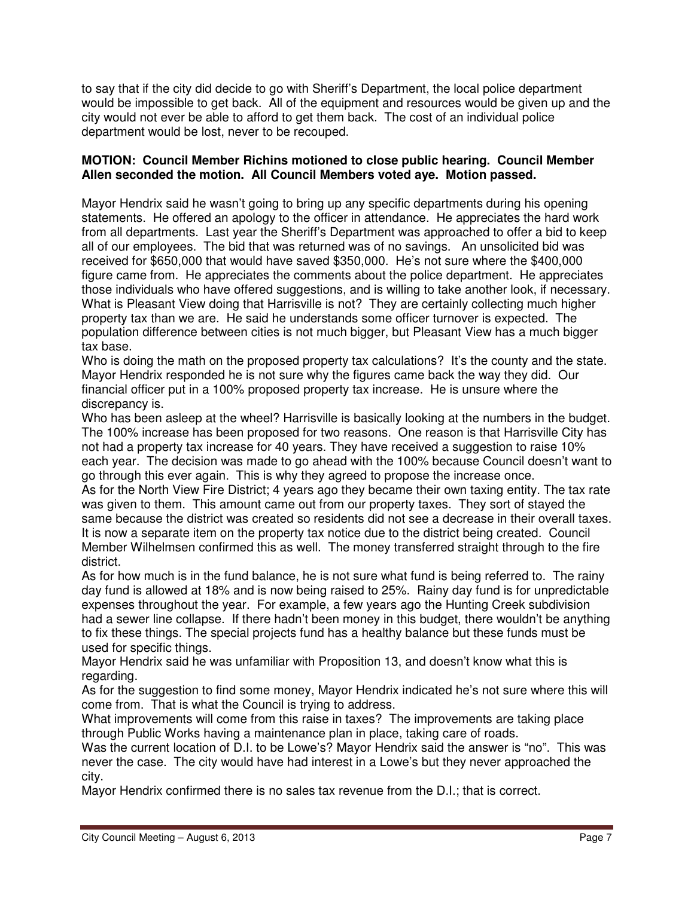to say that if the city did decide to go with Sheriff's Department, the local police department would be impossible to get back. All of the equipment and resources would be given up and the city would not ever be able to afford to get them back. The cost of an individual police department would be lost, never to be recouped.

## **MOTION: Council Member Richins motioned to close public hearing. Council Member Allen seconded the motion. All Council Members voted aye. Motion passed.**

Mayor Hendrix said he wasn't going to bring up any specific departments during his opening statements. He offered an apology to the officer in attendance. He appreciates the hard work from all departments. Last year the Sheriff's Department was approached to offer a bid to keep all of our employees. The bid that was returned was of no savings. An unsolicited bid was received for \$650,000 that would have saved \$350,000. He's not sure where the \$400,000 figure came from. He appreciates the comments about the police department. He appreciates those individuals who have offered suggestions, and is willing to take another look, if necessary. What is Pleasant View doing that Harrisville is not? They are certainly collecting much higher property tax than we are. He said he understands some officer turnover is expected. The population difference between cities is not much bigger, but Pleasant View has a much bigger tax base.

Who is doing the math on the proposed property tax calculations? It's the county and the state. Mayor Hendrix responded he is not sure why the figures came back the way they did. Our financial officer put in a 100% proposed property tax increase. He is unsure where the discrepancy is.

Who has been asleep at the wheel? Harrisville is basically looking at the numbers in the budget. The 100% increase has been proposed for two reasons. One reason is that Harrisville City has not had a property tax increase for 40 years. They have received a suggestion to raise 10% each year. The decision was made to go ahead with the 100% because Council doesn't want to go through this ever again. This is why they agreed to propose the increase once.

As for the North View Fire District; 4 years ago they became their own taxing entity. The tax rate was given to them. This amount came out from our property taxes. They sort of stayed the same because the district was created so residents did not see a decrease in their overall taxes. It is now a separate item on the property tax notice due to the district being created. Council Member Wilhelmsen confirmed this as well. The money transferred straight through to the fire district.

As for how much is in the fund balance, he is not sure what fund is being referred to. The rainy day fund is allowed at 18% and is now being raised to 25%. Rainy day fund is for unpredictable expenses throughout the year. For example, a few years ago the Hunting Creek subdivision had a sewer line collapse. If there hadn't been money in this budget, there wouldn't be anything to fix these things. The special projects fund has a healthy balance but these funds must be used for specific things.

Mayor Hendrix said he was unfamiliar with Proposition 13, and doesn't know what this is regarding.

As for the suggestion to find some money, Mayor Hendrix indicated he's not sure where this will come from. That is what the Council is trying to address.

What improvements will come from this raise in taxes? The improvements are taking place through Public Works having a maintenance plan in place, taking care of roads.

Was the current location of D.I. to be Lowe's? Mayor Hendrix said the answer is "no". This was never the case. The city would have had interest in a Lowe's but they never approached the city.

Mayor Hendrix confirmed there is no sales tax revenue from the D.I.; that is correct.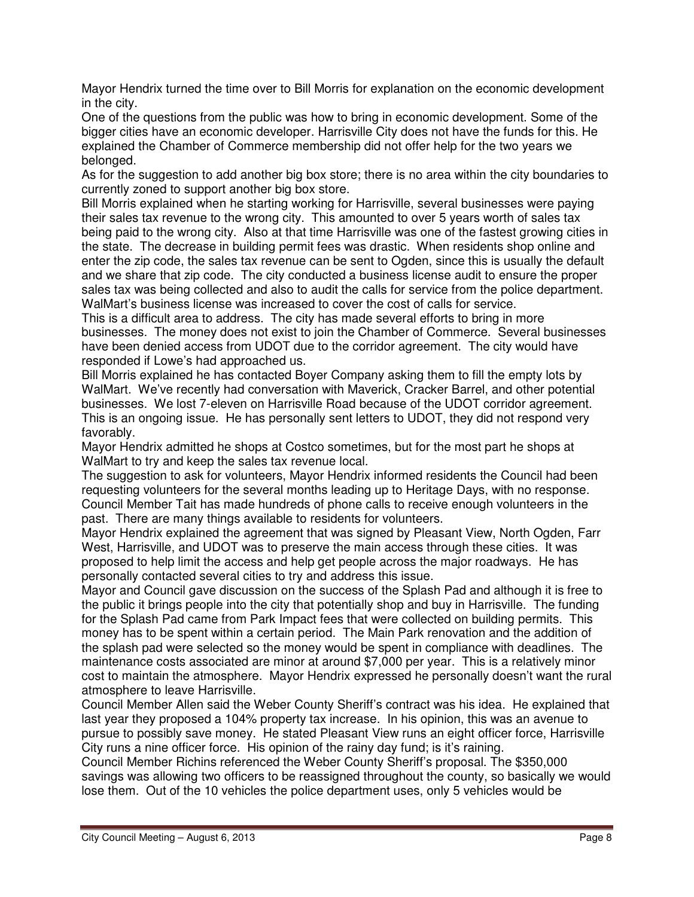Mayor Hendrix turned the time over to Bill Morris for explanation on the economic development in the city.

One of the questions from the public was how to bring in economic development. Some of the bigger cities have an economic developer. Harrisville City does not have the funds for this. He explained the Chamber of Commerce membership did not offer help for the two years we belonged.

As for the suggestion to add another big box store; there is no area within the city boundaries to currently zoned to support another big box store.

Bill Morris explained when he starting working for Harrisville, several businesses were paying their sales tax revenue to the wrong city. This amounted to over 5 years worth of sales tax being paid to the wrong city. Also at that time Harrisville was one of the fastest growing cities in the state. The decrease in building permit fees was drastic. When residents shop online and enter the zip code, the sales tax revenue can be sent to Ogden, since this is usually the default and we share that zip code. The city conducted a business license audit to ensure the proper sales tax was being collected and also to audit the calls for service from the police department. WalMart's business license was increased to cover the cost of calls for service.

This is a difficult area to address. The city has made several efforts to bring in more businesses. The money does not exist to join the Chamber of Commerce. Several businesses have been denied access from UDOT due to the corridor agreement. The city would have responded if Lowe's had approached us.

Bill Morris explained he has contacted Boyer Company asking them to fill the empty lots by WalMart. We've recently had conversation with Maverick, Cracker Barrel, and other potential businesses. We lost 7-eleven on Harrisville Road because of the UDOT corridor agreement. This is an ongoing issue. He has personally sent letters to UDOT, they did not respond very favorably.

Mayor Hendrix admitted he shops at Costco sometimes, but for the most part he shops at WalMart to try and keep the sales tax revenue local.

The suggestion to ask for volunteers, Mayor Hendrix informed residents the Council had been requesting volunteers for the several months leading up to Heritage Days, with no response. Council Member Tait has made hundreds of phone calls to receive enough volunteers in the past. There are many things available to residents for volunteers.

Mayor Hendrix explained the agreement that was signed by Pleasant View, North Ogden, Farr West, Harrisville, and UDOT was to preserve the main access through these cities. It was proposed to help limit the access and help get people across the major roadways. He has personally contacted several cities to try and address this issue.

Mayor and Council gave discussion on the success of the Splash Pad and although it is free to the public it brings people into the city that potentially shop and buy in Harrisville. The funding for the Splash Pad came from Park Impact fees that were collected on building permits. This money has to be spent within a certain period. The Main Park renovation and the addition of the splash pad were selected so the money would be spent in compliance with deadlines. The maintenance costs associated are minor at around \$7,000 per year. This is a relatively minor cost to maintain the atmosphere. Mayor Hendrix expressed he personally doesn't want the rural atmosphere to leave Harrisville.

Council Member Allen said the Weber County Sheriff's contract was his idea. He explained that last year they proposed a 104% property tax increase. In his opinion, this was an avenue to pursue to possibly save money. He stated Pleasant View runs an eight officer force, Harrisville City runs a nine officer force. His opinion of the rainy day fund; is it's raining.

Council Member Richins referenced the Weber County Sheriff's proposal. The \$350,000 savings was allowing two officers to be reassigned throughout the county, so basically we would lose them. Out of the 10 vehicles the police department uses, only 5 vehicles would be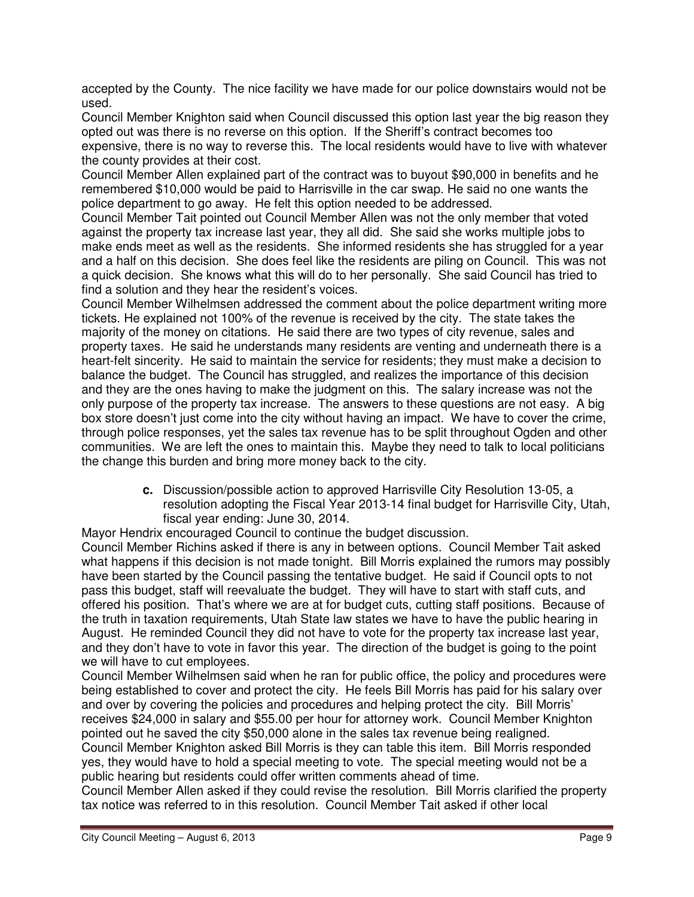accepted by the County. The nice facility we have made for our police downstairs would not be used.

Council Member Knighton said when Council discussed this option last year the big reason they opted out was there is no reverse on this option. If the Sheriff's contract becomes too expensive, there is no way to reverse this. The local residents would have to live with whatever the county provides at their cost.

Council Member Allen explained part of the contract was to buyout \$90,000 in benefits and he remembered \$10,000 would be paid to Harrisville in the car swap. He said no one wants the police department to go away. He felt this option needed to be addressed.

Council Member Tait pointed out Council Member Allen was not the only member that voted against the property tax increase last year, they all did. She said she works multiple jobs to make ends meet as well as the residents. She informed residents she has struggled for a year and a half on this decision. She does feel like the residents are piling on Council. This was not a quick decision. She knows what this will do to her personally. She said Council has tried to find a solution and they hear the resident's voices.

Council Member Wilhelmsen addressed the comment about the police department writing more tickets. He explained not 100% of the revenue is received by the city. The state takes the majority of the money on citations. He said there are two types of city revenue, sales and property taxes. He said he understands many residents are venting and underneath there is a heart-felt sincerity. He said to maintain the service for residents; they must make a decision to balance the budget. The Council has struggled, and realizes the importance of this decision and they are the ones having to make the judgment on this. The salary increase was not the only purpose of the property tax increase. The answers to these questions are not easy. A big box store doesn't just come into the city without having an impact. We have to cover the crime, through police responses, yet the sales tax revenue has to be split throughout Ogden and other communities. We are left the ones to maintain this. Maybe they need to talk to local politicians the change this burden and bring more money back to the city.

> **c.** Discussion/possible action to approved Harrisville City Resolution 13-05, a resolution adopting the Fiscal Year 2013-14 final budget for Harrisville City, Utah, fiscal year ending: June 30, 2014.

Mayor Hendrix encouraged Council to continue the budget discussion.

Council Member Richins asked if there is any in between options. Council Member Tait asked what happens if this decision is not made tonight. Bill Morris explained the rumors may possibly have been started by the Council passing the tentative budget. He said if Council opts to not pass this budget, staff will reevaluate the budget. They will have to start with staff cuts, and offered his position. That's where we are at for budget cuts, cutting staff positions. Because of the truth in taxation requirements, Utah State law states we have to have the public hearing in August. He reminded Council they did not have to vote for the property tax increase last year, and they don't have to vote in favor this year. The direction of the budget is going to the point we will have to cut employees.

Council Member Wilhelmsen said when he ran for public office, the policy and procedures were being established to cover and protect the city. He feels Bill Morris has paid for his salary over and over by covering the policies and procedures and helping protect the city. Bill Morris' receives \$24,000 in salary and \$55.00 per hour for attorney work. Council Member Knighton pointed out he saved the city \$50,000 alone in the sales tax revenue being realigned. Council Member Knighton asked Bill Morris is they can table this item. Bill Morris responded yes, they would have to hold a special meeting to vote. The special meeting would not be a public hearing but residents could offer written comments ahead of time.

Council Member Allen asked if they could revise the resolution. Bill Morris clarified the property tax notice was referred to in this resolution. Council Member Tait asked if other local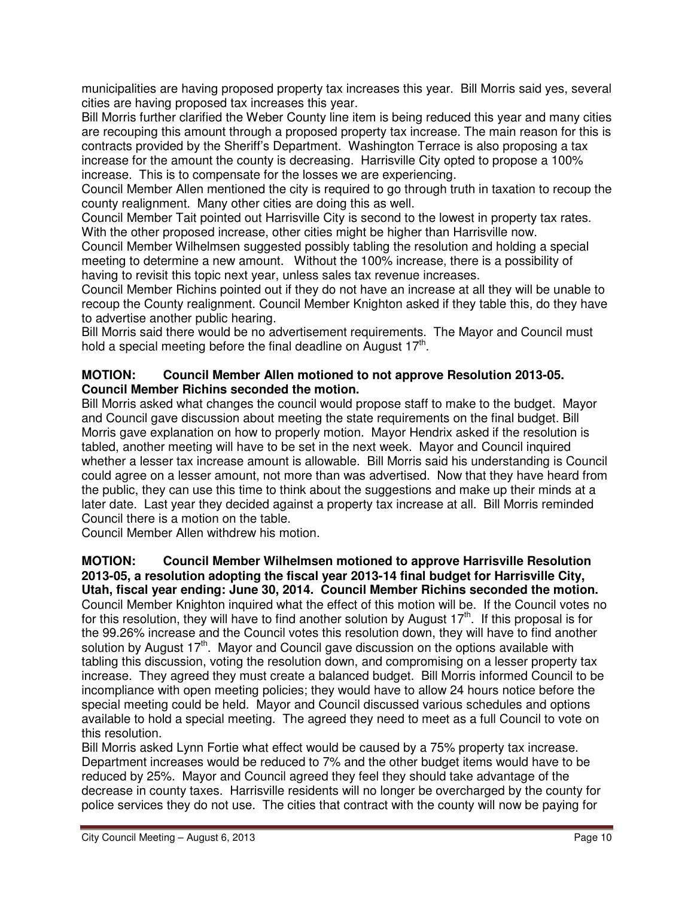municipalities are having proposed property tax increases this year. Bill Morris said yes, several cities are having proposed tax increases this year.

Bill Morris further clarified the Weber County line item is being reduced this year and many cities are recouping this amount through a proposed property tax increase. The main reason for this is contracts provided by the Sheriff's Department. Washington Terrace is also proposing a tax increase for the amount the county is decreasing. Harrisville City opted to propose a 100% increase. This is to compensate for the losses we are experiencing.

Council Member Allen mentioned the city is required to go through truth in taxation to recoup the county realignment. Many other cities are doing this as well.

Council Member Tait pointed out Harrisville City is second to the lowest in property tax rates. With the other proposed increase, other cities might be higher than Harrisville now.

Council Member Wilhelmsen suggested possibly tabling the resolution and holding a special meeting to determine a new amount. Without the 100% increase, there is a possibility of having to revisit this topic next year, unless sales tax revenue increases.

Council Member Richins pointed out if they do not have an increase at all they will be unable to recoup the County realignment. Council Member Knighton asked if they table this, do they have to advertise another public hearing.

Bill Morris said there would be no advertisement requirements. The Mayor and Council must hold a special meeting before the final deadline on August  $17<sup>th</sup>$ .

## **MOTION: Council Member Allen motioned to not approve Resolution 2013-05. Council Member Richins seconded the motion.**

Bill Morris asked what changes the council would propose staff to make to the budget. Mayor and Council gave discussion about meeting the state requirements on the final budget. Bill Morris gave explanation on how to properly motion. Mayor Hendrix asked if the resolution is tabled, another meeting will have to be set in the next week. Mayor and Council inquired whether a lesser tax increase amount is allowable. Bill Morris said his understanding is Council could agree on a lesser amount, not more than was advertised. Now that they have heard from the public, they can use this time to think about the suggestions and make up their minds at a later date. Last year they decided against a property tax increase at all. Bill Morris reminded Council there is a motion on the table.

Council Member Allen withdrew his motion.

**MOTION: Council Member Wilhelmsen motioned to approve Harrisville Resolution 2013-05, a resolution adopting the fiscal year 2013-14 final budget for Harrisville City, Utah, fiscal year ending: June 30, 2014. Council Member Richins seconded the motion.**  Council Member Knighton inquired what the effect of this motion will be. If the Council votes no for this resolution, they will have to find another solution by August  $17<sup>th</sup>$ . If this proposal is for the 99.26% increase and the Council votes this resolution down, they will have to find another solution by August  $17<sup>th</sup>$ . Mayor and Council gave discussion on the options available with tabling this discussion, voting the resolution down, and compromising on a lesser property tax increase. They agreed they must create a balanced budget. Bill Morris informed Council to be incompliance with open meeting policies; they would have to allow 24 hours notice before the special meeting could be held. Mayor and Council discussed various schedules and options available to hold a special meeting. The agreed they need to meet as a full Council to vote on this resolution.

Bill Morris asked Lynn Fortie what effect would be caused by a 75% property tax increase. Department increases would be reduced to 7% and the other budget items would have to be reduced by 25%. Mayor and Council agreed they feel they should take advantage of the decrease in county taxes. Harrisville residents will no longer be overcharged by the county for police services they do not use. The cities that contract with the county will now be paying for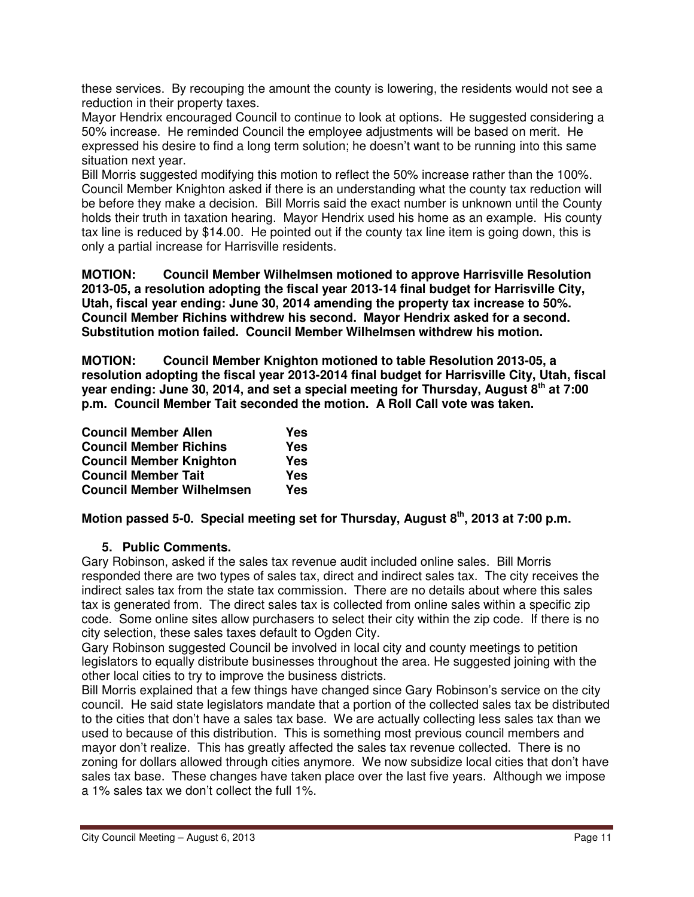these services. By recouping the amount the county is lowering, the residents would not see a reduction in their property taxes.

Mayor Hendrix encouraged Council to continue to look at options. He suggested considering a 50% increase. He reminded Council the employee adjustments will be based on merit. He expressed his desire to find a long term solution; he doesn't want to be running into this same situation next year.

Bill Morris suggested modifying this motion to reflect the 50% increase rather than the 100%. Council Member Knighton asked if there is an understanding what the county tax reduction will be before they make a decision. Bill Morris said the exact number is unknown until the County holds their truth in taxation hearing. Mayor Hendrix used his home as an example. His county tax line is reduced by \$14.00. He pointed out if the county tax line item is going down, this is only a partial increase for Harrisville residents.

**MOTION: Council Member Wilhelmsen motioned to approve Harrisville Resolution 2013-05, a resolution adopting the fiscal year 2013-14 final budget for Harrisville City, Utah, fiscal year ending: June 30, 2014 amending the property tax increase to 50%. Council Member Richins withdrew his second. Mayor Hendrix asked for a second. Substitution motion failed. Council Member Wilhelmsen withdrew his motion.** 

**MOTION: Council Member Knighton motioned to table Resolution 2013-05, a resolution adopting the fiscal year 2013-2014 final budget for Harrisville City, Utah, fiscal year ending: June 30, 2014, and set a special meeting for Thursday, August 8th at 7:00 p.m. Council Member Tait seconded the motion. A Roll Call vote was taken.** 

| <b>Council Member Allen</b>      | Yes        |
|----------------------------------|------------|
| <b>Council Member Richins</b>    | <b>Yes</b> |
| <b>Council Member Knighton</b>   | Yes        |
| <b>Council Member Tait</b>       | Yes        |
| <b>Council Member Wilhelmsen</b> | Yes        |

**Motion passed 5-0. Special meeting set for Thursday, August 8th, 2013 at 7:00 p.m.**

# **5. Public Comments.**

Gary Robinson, asked if the sales tax revenue audit included online sales. Bill Morris responded there are two types of sales tax, direct and indirect sales tax. The city receives the indirect sales tax from the state tax commission. There are no details about where this sales tax is generated from. The direct sales tax is collected from online sales within a specific zip code. Some online sites allow purchasers to select their city within the zip code. If there is no city selection, these sales taxes default to Ogden City.

Gary Robinson suggested Council be involved in local city and county meetings to petition legislators to equally distribute businesses throughout the area. He suggested joining with the other local cities to try to improve the business districts.

Bill Morris explained that a few things have changed since Gary Robinson's service on the city council. He said state legislators mandate that a portion of the collected sales tax be distributed to the cities that don't have a sales tax base. We are actually collecting less sales tax than we used to because of this distribution. This is something most previous council members and mayor don't realize. This has greatly affected the sales tax revenue collected. There is no zoning for dollars allowed through cities anymore. We now subsidize local cities that don't have sales tax base. These changes have taken place over the last five years. Although we impose a 1% sales tax we don't collect the full 1%.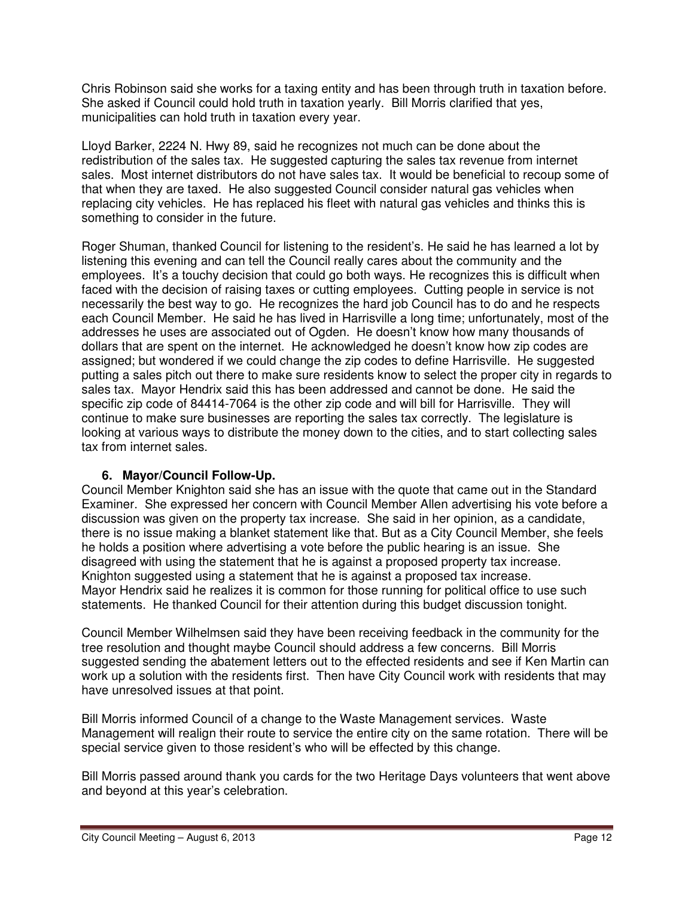Chris Robinson said she works for a taxing entity and has been through truth in taxation before. She asked if Council could hold truth in taxation yearly. Bill Morris clarified that yes, municipalities can hold truth in taxation every year.

Lloyd Barker, 2224 N. Hwy 89, said he recognizes not much can be done about the redistribution of the sales tax. He suggested capturing the sales tax revenue from internet sales. Most internet distributors do not have sales tax. It would be beneficial to recoup some of that when they are taxed. He also suggested Council consider natural gas vehicles when replacing city vehicles. He has replaced his fleet with natural gas vehicles and thinks this is something to consider in the future.

Roger Shuman, thanked Council for listening to the resident's. He said he has learned a lot by listening this evening and can tell the Council really cares about the community and the employees. It's a touchy decision that could go both ways. He recognizes this is difficult when faced with the decision of raising taxes or cutting employees. Cutting people in service is not necessarily the best way to go. He recognizes the hard job Council has to do and he respects each Council Member. He said he has lived in Harrisville a long time; unfortunately, most of the addresses he uses are associated out of Ogden. He doesn't know how many thousands of dollars that are spent on the internet. He acknowledged he doesn't know how zip codes are assigned; but wondered if we could change the zip codes to define Harrisville. He suggested putting a sales pitch out there to make sure residents know to select the proper city in regards to sales tax. Mayor Hendrix said this has been addressed and cannot be done. He said the specific zip code of 84414-7064 is the other zip code and will bill for Harrisville. They will continue to make sure businesses are reporting the sales tax correctly. The legislature is looking at various ways to distribute the money down to the cities, and to start collecting sales tax from internet sales.

# **6. Mayor/Council Follow-Up.**

Council Member Knighton said she has an issue with the quote that came out in the Standard Examiner. She expressed her concern with Council Member Allen advertising his vote before a discussion was given on the property tax increase. She said in her opinion, as a candidate, there is no issue making a blanket statement like that. But as a City Council Member, she feels he holds a position where advertising a vote before the public hearing is an issue. She disagreed with using the statement that he is against a proposed property tax increase. Knighton suggested using a statement that he is against a proposed tax increase. Mayor Hendrix said he realizes it is common for those running for political office to use such statements. He thanked Council for their attention during this budget discussion tonight.

Council Member Wilhelmsen said they have been receiving feedback in the community for the tree resolution and thought maybe Council should address a few concerns. Bill Morris suggested sending the abatement letters out to the effected residents and see if Ken Martin can work up a solution with the residents first. Then have City Council work with residents that may have unresolved issues at that point.

Bill Morris informed Council of a change to the Waste Management services. Waste Management will realign their route to service the entire city on the same rotation. There will be special service given to those resident's who will be effected by this change.

Bill Morris passed around thank you cards for the two Heritage Days volunteers that went above and beyond at this year's celebration.